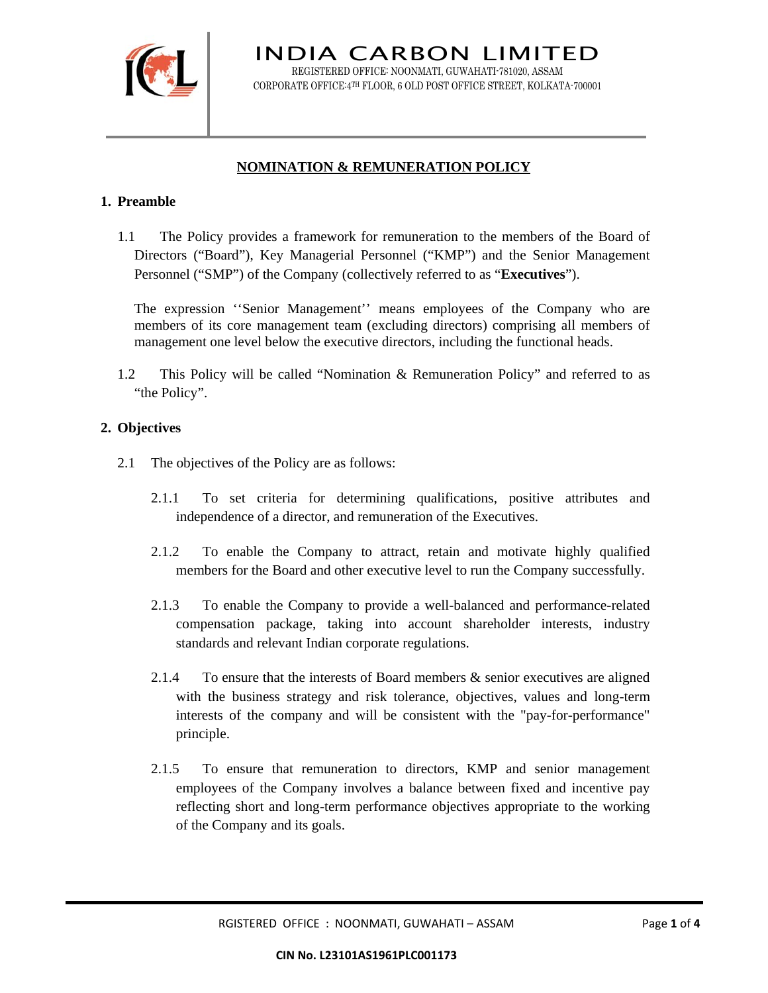

INDIA CARBON LIMITED REGISTERED OFFICE: NOONMATI, GUWAHATI-781020, ASSAM CORPORATE OFFICE:4TH FLOOR, 6 OLD POST OFFICE STREET, KOLKATA-700001

# **NOMINATION & REMUNERATION POLICY**

### **1. Preamble**

1.1 The Policy provides a framework for remuneration to the members of the Board of Directors ("Board"), Key Managerial Personnel ("KMP") and the Senior Management Personnel ("SMP") of the Company (collectively referred to as "**Executives**").

The expression ''Senior Management'' means employees of the Company who are members of its core management team (excluding directors) comprising all members of management one level below the executive directors, including the functional heads.

1.2 This Policy will be called "Nomination & Remuneration Policy" and referred to as "the Policy".

### **2. Objectives**

- 2.1 The objectives of the Policy are as follows:
	- 2.1.1 To set criteria for determining qualifications, positive attributes and independence of a director, and remuneration of the Executives.
	- 2.1.2 To enable the Company to attract, retain and motivate highly qualified members for the Board and other executive level to run the Company successfully.
	- 2.1.3 To enable the Company to provide a well-balanced and performance-related compensation package, taking into account shareholder interests, industry standards and relevant Indian corporate regulations.
	- 2.1.4 To ensure that the interests of Board members & senior executives are aligned with the business strategy and risk tolerance, objectives, values and long-term interests of the company and will be consistent with the "pay-for-performance" principle.
	- 2.1.5 To ensure that remuneration to directors, KMP and senior management employees of the Company involves a balance between fixed and incentive pay reflecting short and long-term performance objectives appropriate to the working of the Company and its goals.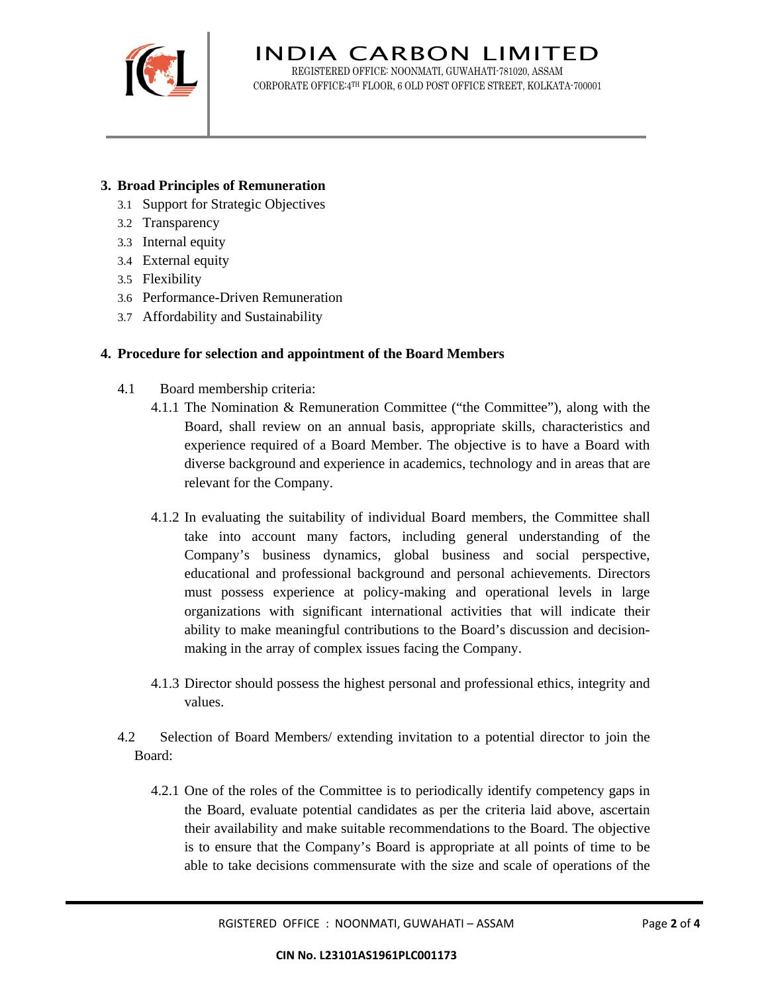

INDIA CARBON LIMITED REGISTERED OFFICE: NOONMATI, GUWAHATI-781020, ASSAM CORPORATE OFFICE:4TH FLOOR, 6 OLD POST OFFICE STREET, KOLKATA-700001

## **3. Broad Principles of Remuneration**

- 3.1 Support for Strategic Objectives
- 3.2 Transparency
- 3.3 Internal equity
- 3.4 External equity
- 3.5 Flexibility
- 3.6 Performance-Driven Remuneration
- 3.7 Affordability and Sustainability

#### **4. Procedure for selection and appointment of the Board Members**

- 4.1 Board membership criteria:
	- 4.1.1 The Nomination & Remuneration Committee ("the Committee"), along with the Board, shall review on an annual basis, appropriate skills, characteristics and experience required of a Board Member. The objective is to have a Board with diverse background and experience in academics, technology and in areas that are relevant for the Company.
	- 4.1.2 In evaluating the suitability of individual Board members, the Committee shall take into account many factors, including general understanding of the Company's business dynamics, global business and social perspective, educational and professional background and personal achievements. Directors must possess experience at policy-making and operational levels in large organizations with significant international activities that will indicate their ability to make meaningful contributions to the Board's discussion and decisionmaking in the array of complex issues facing the Company.
	- 4.1.3 Director should possess the highest personal and professional ethics, integrity and values.
- 4.2 Selection of Board Members/ extending invitation to a potential director to join the Board:
	- 4.2.1 One of the roles of the Committee is to periodically identify competency gaps in the Board, evaluate potential candidates as per the criteria laid above, ascertain their availability and make suitable recommendations to the Board. The objective is to ensure that the Company's Board is appropriate at all points of time to be able to take decisions commensurate with the size and scale of operations of the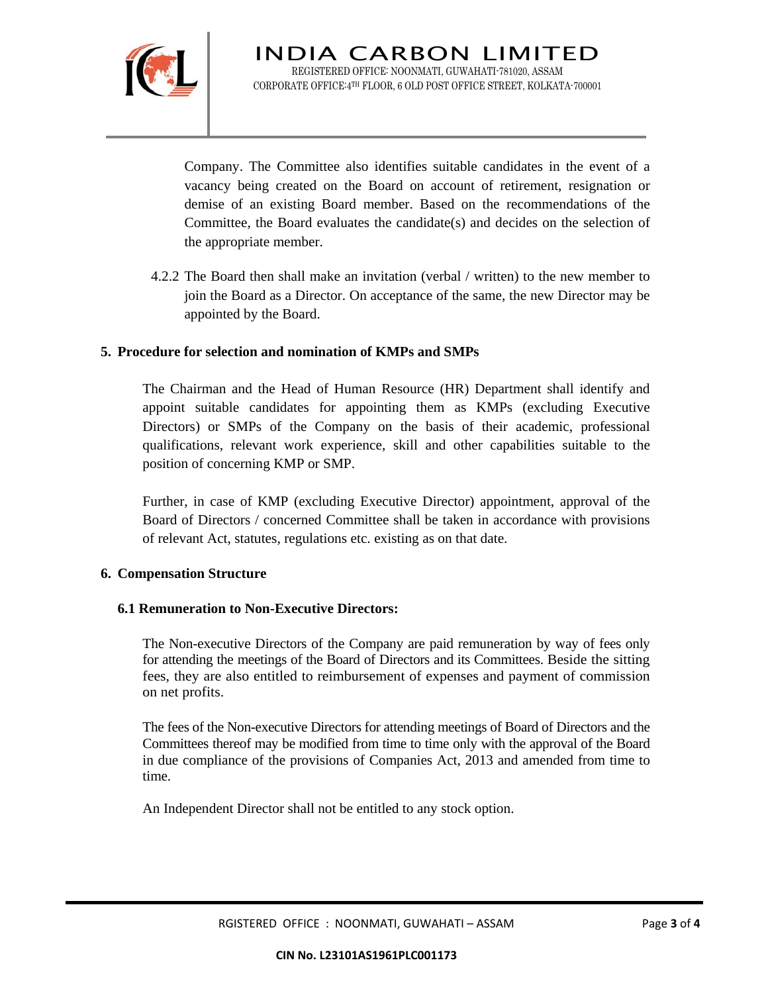

Company. The Committee also identifies suitable candidates in the event of a vacancy being created on the Board on account of retirement, resignation or demise of an existing Board member. Based on the recommendations of the Committee, the Board evaluates the candidate(s) and decides on the selection of the appropriate member.

4.2.2 The Board then shall make an invitation (verbal / written) to the new member to join the Board as a Director. On acceptance of the same, the new Director may be appointed by the Board.

### **5. Procedure for selection and nomination of KMPs and SMPs**

The Chairman and the Head of Human Resource (HR) Department shall identify and appoint suitable candidates for appointing them as KMPs (excluding Executive Directors) or SMPs of the Company on the basis of their academic, professional qualifications, relevant work experience, skill and other capabilities suitable to the position of concerning KMP or SMP.

Further, in case of KMP (excluding Executive Director) appointment, approval of the Board of Directors / concerned Committee shall be taken in accordance with provisions of relevant Act, statutes, regulations etc. existing as on that date.

#### **6. Compensation Structure**

#### **6.1 Remuneration to Non-Executive Directors:**

The Non-executive Directors of the Company are paid remuneration by way of fees only for attending the meetings of the Board of Directors and its Committees. Beside the sitting fees, they are also entitled to reimbursement of expenses and payment of commission on net profits.

The fees of the Non-executive Directors for attending meetings of Board of Directors and the Committees thereof may be modified from time to time only with the approval of the Board in due compliance of the provisions of Companies Act, 2013 and amended from time to time.

An Independent Director shall not be entitled to any stock option.